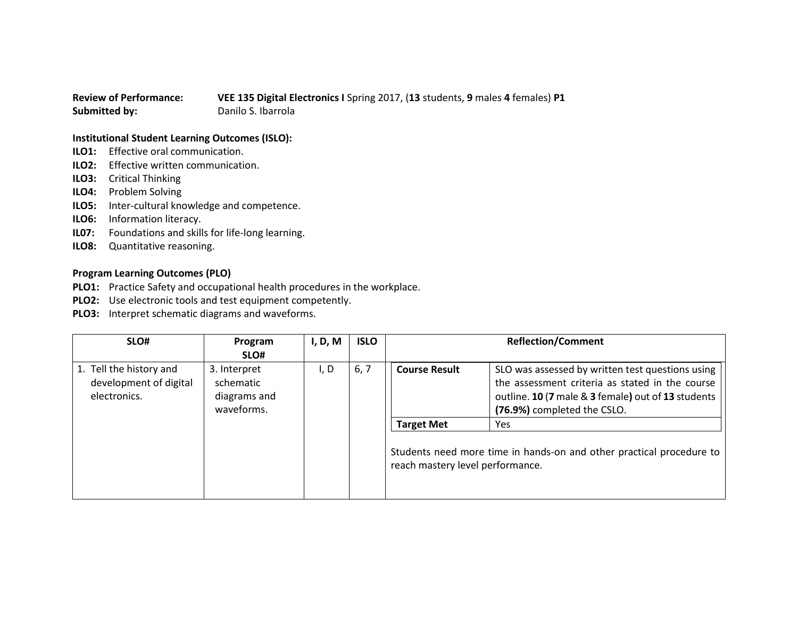## **Review of Performance: VEE 135 Digital Electronics I** Spring 2017, (**13** students, **9** males **4** females) **P1 Submitted by:** Danilo S. Ibarrola

## **Institutional Student Learning Outcomes (ISLO):**

- **ILO1:** Effective oral communication.
- **ILO2:** Effective written communication.
- **ILO3:** Critical Thinking
- **ILO4:** Problem Solving
- **ILO5:** Inter-cultural knowledge and competence.
- **ILO6:** Information literacy.
- **IL07:** Foundations and skills for life-long learning.
- **ILO8:** Quantitative reasoning.

## **Program Learning Outcomes (PLO)**

- **PLO1:** Practice Safety and occupational health procedures in the workplace.
- **PLO2:** Use electronic tools and test equipment competently.
- **PLO3:** Interpret schematic diagrams and waveforms.

| SLO#                                                              | Program<br>SLO#                                         | I, D, M | <b>ISLO</b>                                                                                              |                      | <b>Reflection/Comment</b>                                                                                                                                                                |
|-------------------------------------------------------------------|---------------------------------------------------------|---------|----------------------------------------------------------------------------------------------------------|----------------------|------------------------------------------------------------------------------------------------------------------------------------------------------------------------------------------|
| 1. Tell the history and<br>development of digital<br>electronics. | 3. Interpret<br>schematic<br>diagrams and<br>waveforms. | I, D    | 6, 7                                                                                                     | <b>Course Result</b> | SLO was assessed by written test questions using<br>the assessment criteria as stated in the course<br>outline. 10 (7 male & 3 female) out of 13 students<br>(76.9%) completed the CSLO. |
|                                                                   |                                                         |         |                                                                                                          | <b>Target Met</b>    | <b>Yes</b>                                                                                                                                                                               |
|                                                                   |                                                         |         | Students need more time in hands-on and other practical procedure to<br>reach mastery level performance. |                      |                                                                                                                                                                                          |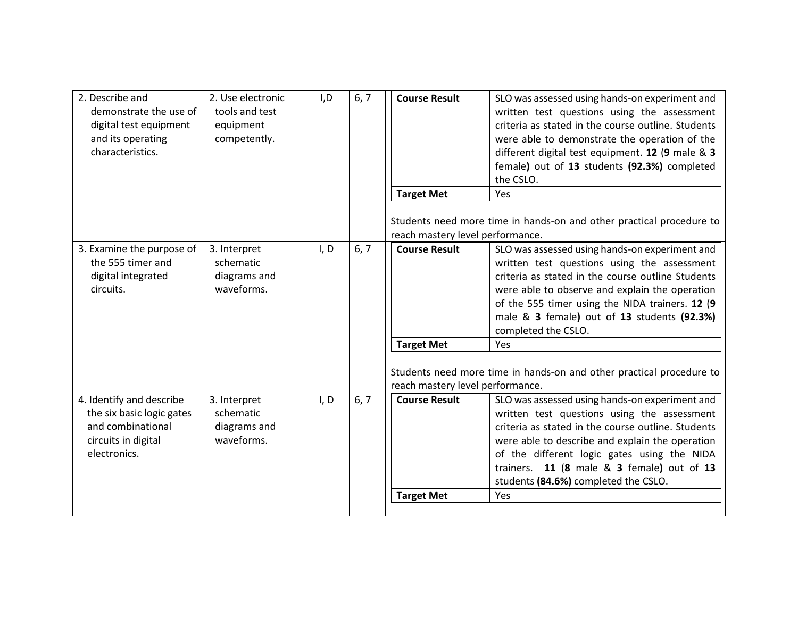| 2. Describe and<br>demonstrate the use of<br>digital test equipment<br>and its operating<br>characteristics.      | 2. Use electronic<br>tools and test<br>equipment<br>competently. | I, D | 6, 7 | <b>Course Result</b>                      | SLO was assessed using hands-on experiment and<br>written test questions using the assessment<br>criteria as stated in the course outline. Students<br>were able to demonstrate the operation of the<br>different digital test equipment. 12 (9 male & 3<br>female) out of 13 students (92.3%) completed<br>the CSLO.                              |
|-------------------------------------------------------------------------------------------------------------------|------------------------------------------------------------------|------|------|-------------------------------------------|----------------------------------------------------------------------------------------------------------------------------------------------------------------------------------------------------------------------------------------------------------------------------------------------------------------------------------------------------|
|                                                                                                                   |                                                                  |      |      | <b>Target Met</b>                         | Yes                                                                                                                                                                                                                                                                                                                                                |
|                                                                                                                   |                                                                  |      |      | reach mastery level performance.          | Students need more time in hands-on and other practical procedure to                                                                                                                                                                                                                                                                               |
| 3. Examine the purpose of<br>the 555 timer and<br>digital integrated<br>circuits.                                 | 3. Interpret<br>schematic<br>diagrams and<br>waveforms.          | I, D | 6, 7 | <b>Course Result</b>                      | SLO was assessed using hands-on experiment and<br>written test questions using the assessment<br>criteria as stated in the course outline Students<br>were able to observe and explain the operation<br>of the 555 timer using the NIDA trainers. 12 (9<br>male & 3 female) out of 13 students (92.3%)<br>completed the CSLO.                      |
|                                                                                                                   |                                                                  |      |      | <b>Target Met</b>                         | Yes                                                                                                                                                                                                                                                                                                                                                |
|                                                                                                                   |                                                                  |      |      | reach mastery level performance.          | Students need more time in hands-on and other practical procedure to                                                                                                                                                                                                                                                                               |
| 4. Identify and describe<br>the six basic logic gates<br>and combinational<br>circuits in digital<br>electronics. | 3. Interpret<br>schematic<br>diagrams and<br>waveforms.          | I, D | 6, 7 | <b>Course Result</b><br><b>Target Met</b> | SLO was assessed using hands-on experiment and<br>written test questions using the assessment<br>criteria as stated in the course outline. Students<br>were able to describe and explain the operation<br>of the different logic gates using the NIDA<br>trainers. 11 (8 male & 3 female) out of 13<br>students (84.6%) completed the CSLO.<br>Yes |
|                                                                                                                   |                                                                  |      |      |                                           |                                                                                                                                                                                                                                                                                                                                                    |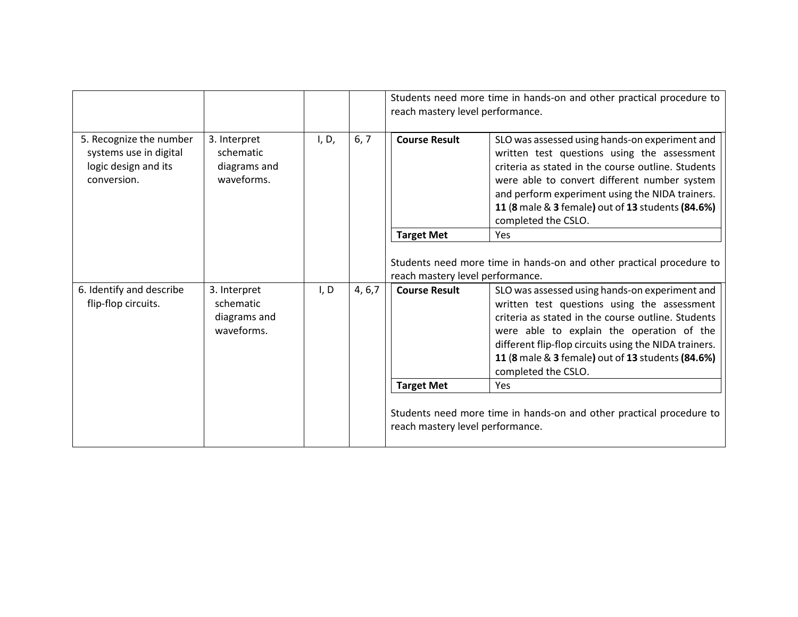|                                                                                          |                                                         |       |         | Students need more time in hands-on and other practical procedure to<br>reach mastery level performance. |                                                                                                                                                                                                                                                                                                                                       |
|------------------------------------------------------------------------------------------|---------------------------------------------------------|-------|---------|----------------------------------------------------------------------------------------------------------|---------------------------------------------------------------------------------------------------------------------------------------------------------------------------------------------------------------------------------------------------------------------------------------------------------------------------------------|
| 5. Recognize the number<br>systems use in digital<br>logic design and its<br>conversion. | 3. Interpret<br>schematic<br>diagrams and<br>waveforms. | I, D, | 6, 7    | <b>Course Result</b>                                                                                     | SLO was assessed using hands-on experiment and<br>written test questions using the assessment<br>criteria as stated in the course outline. Students<br>were able to convert different number system<br>and perform experiment using the NIDA trainers.<br>11 (8 male & 3 female) out of 13 students (84.6%)<br>completed the CSLO.    |
|                                                                                          |                                                         |       |         | <b>Target Met</b>                                                                                        | <b>Yes</b>                                                                                                                                                                                                                                                                                                                            |
|                                                                                          |                                                         |       |         | reach mastery level performance.                                                                         | Students need more time in hands-on and other practical procedure to                                                                                                                                                                                                                                                                  |
| 6. Identify and describe<br>flip-flop circuits.                                          | 3. Interpret<br>schematic<br>diagrams and<br>waveforms. | I, D  | 4, 6, 7 | <b>Course Result</b>                                                                                     | SLO was assessed using hands-on experiment and<br>written test questions using the assessment<br>criteria as stated in the course outline. Students<br>were able to explain the operation of the<br>different flip-flop circuits using the NIDA trainers.<br>11 (8 male & 3 female) out of 13 students (84.6%)<br>completed the CSLO. |
|                                                                                          |                                                         |       |         | <b>Target Met</b>                                                                                        | <b>Yes</b>                                                                                                                                                                                                                                                                                                                            |
|                                                                                          |                                                         |       |         | reach mastery level performance.                                                                         | Students need more time in hands-on and other practical procedure to                                                                                                                                                                                                                                                                  |